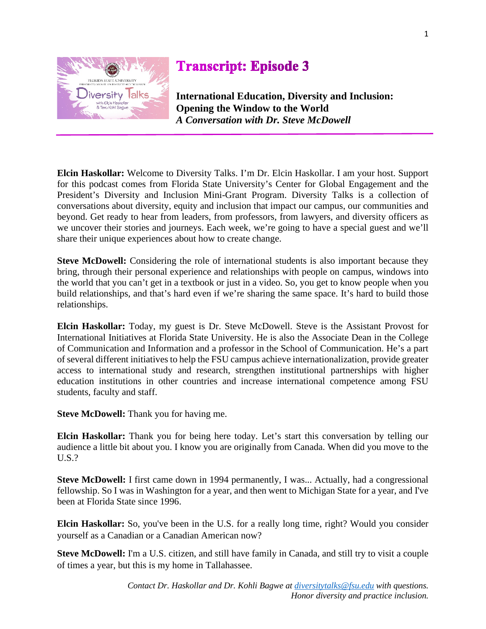

## **Transcript: Episode 3**

**International Education, Diversity and Inclusion: Opening the Window to the World** *A Conversation with Dr. Steve McDowell*

**Elcin Haskollar:** Welcome to Diversity Talks. I'm Dr. Elcin Haskollar. I am your host. Support for this podcast comes from Florida State University's Center for Global Engagement and the President's Diversity and Inclusion Mini-Grant Program. Diversity Talks is a collection of conversations about diversity, equity and inclusion that impact our campus, our communities and beyond. Get ready to hear from leaders, from professors, from lawyers, and diversity officers as we uncover their stories and journeys. Each week, we're going to have a special guest and we'll share their unique experiences about how to create change.

**Steve McDowell:** Considering the role of international students is also important because they bring, through their personal experience and relationships with people on campus, windows into the world that you can't get in a textbook or just in a video. So, you get to know people when you build relationships, and that's hard even if we're sharing the same space. It's hard to build those relationships.

**Elcin Haskollar:** Today, my guest is Dr. Steve McDowell. Steve is the Assistant Provost for International Initiatives at Florida State University. He is also the Associate Dean in the College of Communication and Information and a professor in the School of Communication. He's a part of several different initiatives to help the FSU campus achieve internationalization, provide greater access to international study and research, strengthen institutional partnerships with higher education institutions in other countries and increase international competence among FSU students, faculty and staff.

**Steve McDowell:** Thank you for having me.

**Elcin Haskollar:** Thank you for being here today. Let's start this conversation by telling our audience a little bit about you. I know you are originally from Canada. When did you move to the U.S.?

**Steve McDowell:** I first came down in 1994 permanently, I was... Actually, had a congressional fellowship. So I was in Washington for a year, and then went to Michigan State for a year, and I've been at Florida State since 1996.

**Elcin Haskollar:** So, you've been in the U.S. for a really long time, right? Would you consider yourself as a Canadian or a Canadian American now?

**Steve McDowell:** I'm a U.S. citizen, and still have family in Canada, and still try to visit a couple of times a year, but this is my home in Tallahassee.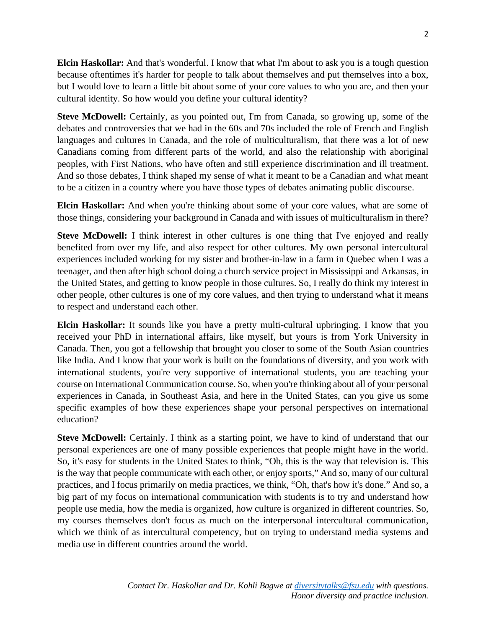**Elcin Haskollar:** And that's wonderful. I know that what I'm about to ask you is a tough question because oftentimes it's harder for people to talk about themselves and put themselves into a box, but I would love to learn a little bit about some of your core values to who you are, and then your cultural identity. So how would you define your cultural identity?

**Steve McDowell:** Certainly, as you pointed out, I'm from Canada, so growing up, some of the debates and controversies that we had in the 60s and 70s included the role of French and English languages and cultures in Canada, and the role of multiculturalism, that there was a lot of new Canadians coming from different parts of the world, and also the relationship with aboriginal peoples, with First Nations, who have often and still experience discrimination and ill treatment. And so those debates, I think shaped my sense of what it meant to be a Canadian and what meant to be a citizen in a country where you have those types of debates animating public discourse.

**Elcin Haskollar:** And when you're thinking about some of your core values, what are some of those things, considering your background in Canada and with issues of multiculturalism in there?

**Steve McDowell:** I think interest in other cultures is one thing that I've enjoyed and really benefited from over my life, and also respect for other cultures. My own personal intercultural experiences included working for my sister and brother-in-law in a farm in Quebec when I was a teenager, and then after high school doing a church service project in Mississippi and Arkansas, in the United States, and getting to know people in those cultures. So, I really do think my interest in other people, other cultures is one of my core values, and then trying to understand what it means to respect and understand each other.

**Elcin Haskollar:** It sounds like you have a pretty multi-cultural upbringing. I know that you received your PhD in international affairs, like myself, but yours is from York University in Canada. Then, you got a fellowship that brought you closer to some of the South Asian countries like India. And I know that your work is built on the foundations of diversity, and you work with international students, you're very supportive of international students, you are teaching your course on International Communication course. So, when you're thinking about all of your personal experiences in Canada, in Southeast Asia, and here in the United States, can you give us some specific examples of how these experiences shape your personal perspectives on international education?

**Steve McDowell:** Certainly. I think as a starting point, we have to kind of understand that our personal experiences are one of many possible experiences that people might have in the world. So, it's easy for students in the United States to think, "Oh, this is the way that television is. This is the way that people communicate with each other, or enjoy sports," And so, many of our cultural practices, and I focus primarily on media practices, we think, "Oh, that's how it's done." And so, a big part of my focus on international communication with students is to try and understand how people use media, how the media is organized, how culture is organized in different countries. So, my courses themselves don't focus as much on the interpersonal intercultural communication, which we think of as intercultural competency, but on trying to understand media systems and media use in different countries around the world.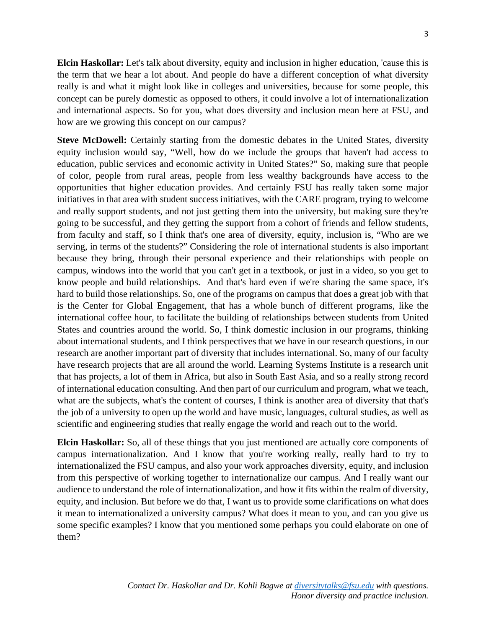**Elcin Haskollar:** Let's talk about diversity, equity and inclusion in higher education, 'cause this is the term that we hear a lot about. And people do have a different conception of what diversity really is and what it might look like in colleges and universities, because for some people, this concept can be purely domestic as opposed to others, it could involve a lot of internationalization and international aspects. So for you, what does diversity and inclusion mean here at FSU, and how are we growing this concept on our campus?

**Steve McDowell:** Certainly starting from the domestic debates in the United States, diversity equity inclusion would say, "Well, how do we include the groups that haven't had access to education, public services and economic activity in United States?" So, making sure that people of color, people from rural areas, people from less wealthy backgrounds have access to the opportunities that higher education provides. And certainly FSU has really taken some major initiatives in that area with student success initiatives, with the CARE program, trying to welcome and really support students, and not just getting them into the university, but making sure they're going to be successful, and they getting the support from a cohort of friends and fellow students, from faculty and staff, so I think that's one area of diversity, equity, inclusion is, "Who are we serving, in terms of the students?" Considering the role of international students is also important because they bring, through their personal experience and their relationships with people on campus, windows into the world that you can't get in a textbook, or just in a video, so you get to know people and build relationships. And that's hard even if we're sharing the same space, it's hard to build those relationships. So, one of the programs on campus that does a great job with that is the Center for Global Engagement, that has a whole bunch of different programs, like the international coffee hour, to facilitate the building of relationships between students from United States and countries around the world. So, I think domestic inclusion in our programs, thinking about international students, and I think perspectives that we have in our research questions, in our research are another important part of diversity that includes international. So, many of our faculty have research projects that are all around the world. Learning Systems Institute is a research unit that has projects, a lot of them in Africa, but also in South East Asia, and so a really strong record of international education consulting. And then part of our curriculum and program, what we teach, what are the subjects, what's the content of courses, I think is another area of diversity that that's the job of a university to open up the world and have music, languages, cultural studies, as well as scientific and engineering studies that really engage the world and reach out to the world.

**Elcin Haskollar:** So, all of these things that you just mentioned are actually core components of campus internationalization. And I know that you're working really, really hard to try to internationalized the FSU campus, and also your work approaches diversity, equity, and inclusion from this perspective of working together to internationalize our campus. And I really want our audience to understand the role of internationalization, and how it fits within the realm of diversity, equity, and inclusion. But before we do that, I want us to provide some clarifications on what does it mean to internationalized a university campus? What does it mean to you, and can you give us some specific examples? I know that you mentioned some perhaps you could elaborate on one of them?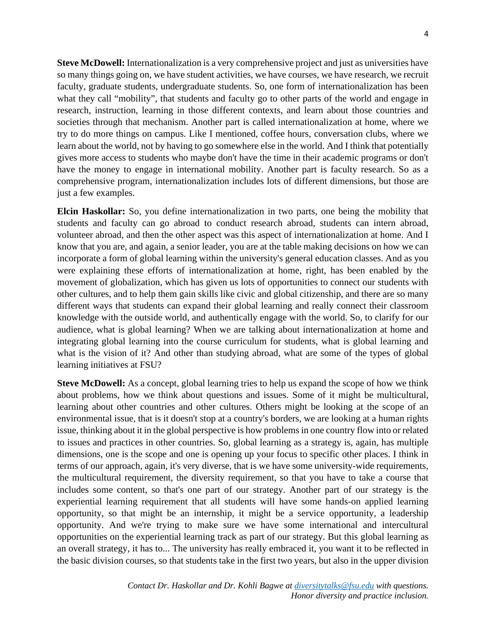**Steve McDowell:** Internationalization is a very comprehensive project and just as universities have so many things going on, we have student activities, we have courses, we have research, we recruit faculty, graduate students, undergraduate students. So, one form of internationalization has been what they call "mobility", that students and faculty go to other parts of the world and engage in research, instruction, learning in those different contexts, and learn about those countries and societies through that mechanism. Another part is called internationalization at home, where we try to do more things on campus. Like I mentioned, coffee hours, conversation clubs, where we learn about the world, not by having to go somewhere else in the world. And I think that potentially gives more access to students who maybe don't have the time in their academic programs or don't have the money to engage in international mobility. Another part is faculty research. So as a comprehensive program, internationalization includes lots of different dimensions, but those are just a few examples.

**Elcin Haskollar:** So, you define internationalization in two parts, one being the mobility that students and faculty can go abroad to conduct research abroad, students can intern abroad, volunteer abroad, and then the other aspect was this aspect of internationalization at home. And I know that you are, and again, a senior leader, you are at the table making decisions on how we can incorporate a form of global learning within the university's general education classes. And as you were explaining these efforts of internationalization at home, right, has been enabled by the movement of globalization, which has given us lots of opportunities to connect our students with other cultures, and to help them gain skills like civic and global citizenship, and there are so many different ways that students can expand their global learning and really connect their classroom knowledge with the outside world, and authentically engage with the world. So, to clarify for our audience, what is global learning? When we are talking about internationalization at home and integrating global learning into the course curriculum for students, what is global learning and what is the vision of it? And other than studying abroad, what are some of the types of global learning initiatives at FSU?

**Steve McDowell:** As a concept, global learning tries to help us expand the scope of how we think about problems, how we think about questions and issues. Some of it might be multicultural, learning about other countries and other cultures. Others might be looking at the scope of an environmental issue, that is it doesn't stop at a country's borders, we are looking at a human rights issue, thinking about it in the global perspective is how problems in one country flow into or related to issues and practices in other countries. So, global learning as a strategy is, again, has multiple dimensions, one is the scope and one is opening up your focus to specific other places. I think in terms of our approach, again, it's very diverse, that is we have some university-wide requirements, the multicultural requirement, the diversity requirement, so that you have to take a course that includes some content, so that's one part of our strategy. Another part of our strategy is the experiential learning requirement that all students will have some hands-on applied learning opportunity, so that might be an internship, it might be a service opportunity, a leadership opportunity. And we're trying to make sure we have some international and intercultural opportunities on the experiential learning track as part of our strategy. But this global learning as an overall strategy, it has to... The university has really embraced it, you want it to be reflected in the basic division courses, so that students take in the first two years, but also in the upper division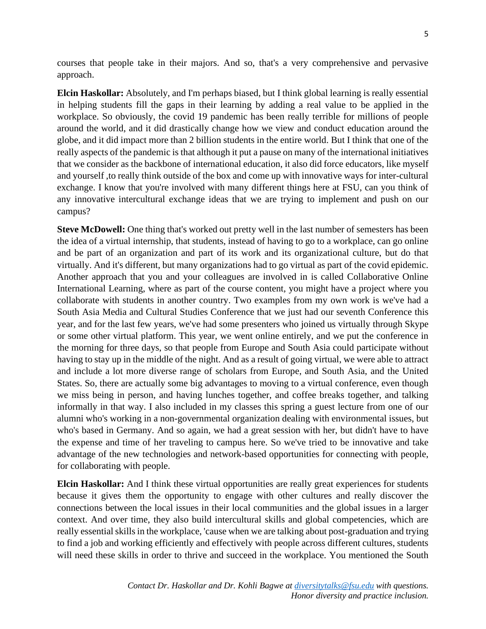courses that people take in their majors. And so, that's a very comprehensive and pervasive approach.

**Elcin Haskollar:** Absolutely, and I'm perhaps biased, but I think global learning is really essential in helping students fill the gaps in their learning by adding a real value to be applied in the workplace. So obviously, the covid 19 pandemic has been really terrible for millions of people around the world, and it did drastically change how we view and conduct education around the globe, and it did impact more than 2 billion students in the entire world. But I think that one of the really aspects of the pandemic is that although it put a pause on many of the international initiatives that we consider as the backbone of international education, it also did force educators, like myself and yourself ,to really think outside of the box and come up with innovative ways for inter-cultural exchange. I know that you're involved with many different things here at FSU, can you think of any innovative intercultural exchange ideas that we are trying to implement and push on our campus?

**Steve McDowell:** One thing that's worked out pretty well in the last number of semesters has been the idea of a virtual internship, that students, instead of having to go to a workplace, can go online and be part of an organization and part of its work and its organizational culture, but do that virtually. And it's different, but many organizations had to go virtual as part of the covid epidemic. Another approach that you and your colleagues are involved in is called Collaborative Online International Learning, where as part of the course content, you might have a project where you collaborate with students in another country. Two examples from my own work is we've had a South Asia Media and Cultural Studies Conference that we just had our seventh Conference this year, and for the last few years, we've had some presenters who joined us virtually through Skype or some other virtual platform. This year, we went online entirely, and we put the conference in the morning for three days, so that people from Europe and South Asia could participate without having to stay up in the middle of the night. And as a result of going virtual, we were able to attract and include a lot more diverse range of scholars from Europe, and South Asia, and the United States. So, there are actually some big advantages to moving to a virtual conference, even though we miss being in person, and having lunches together, and coffee breaks together, and talking informally in that way. I also included in my classes this spring a guest lecture from one of our alumni who's working in a non-governmental organization dealing with environmental issues, but who's based in Germany. And so again, we had a great session with her, but didn't have to have the expense and time of her traveling to campus here. So we've tried to be innovative and take advantage of the new technologies and network-based opportunities for connecting with people, for collaborating with people.

**Elcin Haskollar:** And I think these virtual opportunities are really great experiences for students because it gives them the opportunity to engage with other cultures and really discover the connections between the local issues in their local communities and the global issues in a larger context. And over time, they also build intercultural skills and global competencies, which are really essential skills in the workplace, 'cause when we are talking about post-graduation and trying to find a job and working efficiently and effectively with people across different cultures, students will need these skills in order to thrive and succeed in the workplace. You mentioned the South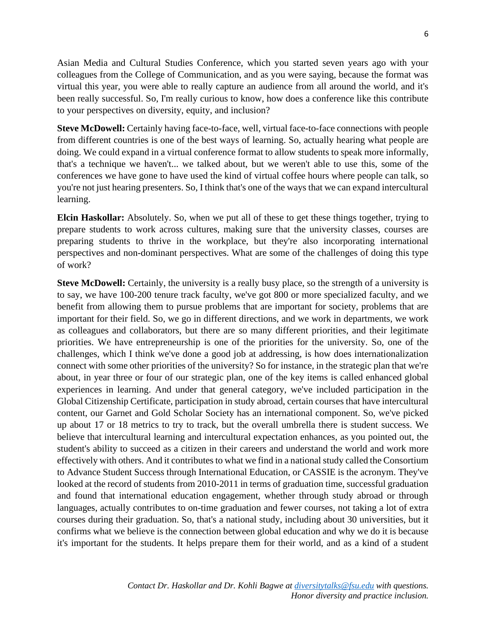Asian Media and Cultural Studies Conference, which you started seven years ago with your colleagues from the College of Communication, and as you were saying, because the format was virtual this year, you were able to really capture an audience from all around the world, and it's been really successful. So, I'm really curious to know, how does a conference like this contribute to your perspectives on diversity, equity, and inclusion?

**Steve McDowell:** Certainly having face-to-face, well, virtual face-to-face connections with people from different countries is one of the best ways of learning. So, actually hearing what people are doing. We could expand in a virtual conference format to allow students to speak more informally, that's a technique we haven't... we talked about, but we weren't able to use this, some of the conferences we have gone to have used the kind of virtual coffee hours where people can talk, so you're not just hearing presenters. So, I think that's one of the ways that we can expand intercultural learning.

**Elcin Haskollar:** Absolutely. So, when we put all of these to get these things together, trying to prepare students to work across cultures, making sure that the university classes, courses are preparing students to thrive in the workplace, but they're also incorporating international perspectives and non-dominant perspectives. What are some of the challenges of doing this type of work?

**Steve McDowell:** Certainly, the university is a really busy place, so the strength of a university is to say, we have 100-200 tenure track faculty, we've got 800 or more specialized faculty, and we benefit from allowing them to pursue problems that are important for society, problems that are important for their field. So, we go in different directions, and we work in departments, we work as colleagues and collaborators, but there are so many different priorities, and their legitimate priorities. We have entrepreneurship is one of the priorities for the university. So, one of the challenges, which I think we've done a good job at addressing, is how does internationalization connect with some other priorities of the university? So for instance, in the strategic plan that we're about, in year three or four of our strategic plan, one of the key items is called enhanced global experiences in learning. And under that general category, we've included participation in the Global Citizenship Certificate, participation in study abroad, certain courses that have intercultural content, our Garnet and Gold Scholar Society has an international component. So, we've picked up about 17 or 18 metrics to try to track, but the overall umbrella there is student success. We believe that intercultural learning and intercultural expectation enhances, as you pointed out, the student's ability to succeed as a citizen in their careers and understand the world and work more effectively with others. And it contributes to what we find in a national study called the Consortium to Advance Student Success through International Education, or CASSIE is the acronym. They've looked at the record of students from 2010-2011 in terms of graduation time, successful graduation and found that international education engagement, whether through study abroad or through languages, actually contributes to on-time graduation and fewer courses, not taking a lot of extra courses during their graduation. So, that's a national study, including about 30 universities, but it confirms what we believe is the connection between global education and why we do it is because it's important for the students. It helps prepare them for their world, and as a kind of a student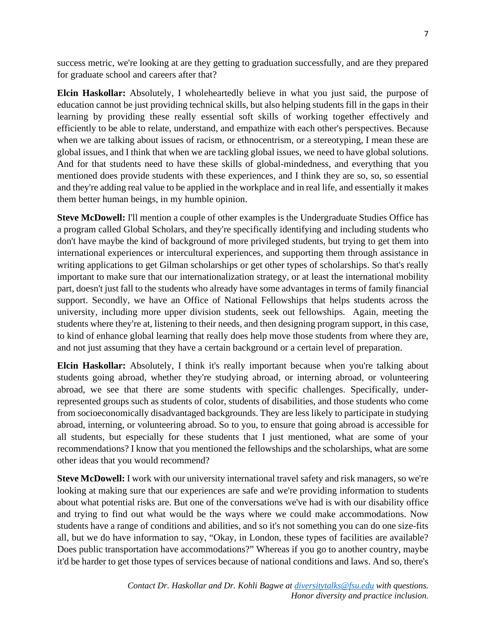success metric, we're looking at are they getting to graduation successfully, and are they prepared for graduate school and careers after that?

**Elcin Haskollar:** Absolutely, I wholeheartedly believe in what you just said, the purpose of education cannot be just providing technical skills, but also helping students fill in the gaps in their learning by providing these really essential soft skills of working together effectively and efficiently to be able to relate, understand, and empathize with each other's perspectives. Because when we are talking about issues of racism, or ethnocentrism, or a stereotyping, I mean these are global issues, and I think that when we are tackling global issues, we need to have global solutions. And for that students need to have these skills of global-mindedness, and everything that you mentioned does provide students with these experiences, and I think they are so, so, so essential and they're adding real value to be applied in the workplace and in real life, and essentially it makes them better human beings, in my humble opinion.

**Steve McDowell:** I'll mention a couple of other examples is the Undergraduate Studies Office has a program called Global Scholars, and they're specifically identifying and including students who don't have maybe the kind of background of more privileged students, but trying to get them into international experiences or intercultural experiences, and supporting them through assistance in writing applications to get Gilman scholarships or get other types of scholarships. So that's really important to make sure that our internationalization strategy, or at least the international mobility part, doesn't just fall to the students who already have some advantages in terms of family financial support. Secondly, we have an Office of National Fellowships that helps students across the university, including more upper division students, seek out fellowships. Again, meeting the students where they're at, listening to their needs, and then designing program support, in this case, to kind of enhance global learning that really does help move those students from where they are, and not just assuming that they have a certain background or a certain level of preparation.

**Elcin Haskollar:** Absolutely, I think it's really important because when you're talking about students going abroad, whether they're studying abroad, or interning abroad, or volunteering abroad, we see that there are some students with specific challenges. Specifically, underrepresented groups such as students of color, students of disabilities, and those students who come from socioeconomically disadvantaged backgrounds. They are less likely to participate in studying abroad, interning, or volunteering abroad. So to you, to ensure that going abroad is accessible for all students, but especially for these students that I just mentioned, what are some of your recommendations? I know that you mentioned the fellowships and the scholarships, what are some other ideas that you would recommend?

**Steve McDowell:** I work with our university international travel safety and risk managers, so we're looking at making sure that our experiences are safe and we're providing information to students about what potential risks are. But one of the conversations we've had is with our disability office and trying to find out what would be the ways where we could make accommodations. Now students have a range of conditions and abilities, and so it's not something you can do one size-fits all, but we do have information to say, "Okay, in London, these types of facilities are available? Does public transportation have accommodations?" Whereas if you go to another country, maybe it'd be harder to get those types of services because of national conditions and laws. And so, there's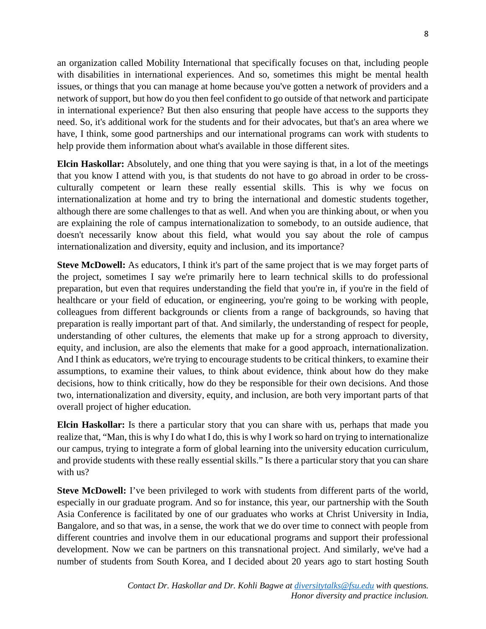an organization called Mobility International that specifically focuses on that, including people with disabilities in international experiences. And so, sometimes this might be mental health issues, or things that you can manage at home because you've gotten a network of providers and a network of support, but how do you then feel confident to go outside of that network and participate in international experience? But then also ensuring that people have access to the supports they need. So, it's additional work for the students and for their advocates, but that's an area where we have, I think, some good partnerships and our international programs can work with students to help provide them information about what's available in those different sites.

**Elcin Haskollar:** Absolutely, and one thing that you were saying is that, in a lot of the meetings that you know I attend with you, is that students do not have to go abroad in order to be crossculturally competent or learn these really essential skills. This is why we focus on internationalization at home and try to bring the international and domestic students together, although there are some challenges to that as well. And when you are thinking about, or when you are explaining the role of campus internationalization to somebody, to an outside audience, that doesn't necessarily know about this field, what would you say about the role of campus internationalization and diversity, equity and inclusion, and its importance?

**Steve McDowell:** As educators, I think it's part of the same project that is we may forget parts of the project, sometimes I say we're primarily here to learn technical skills to do professional preparation, but even that requires understanding the field that you're in, if you're in the field of healthcare or your field of education, or engineering, you're going to be working with people, colleagues from different backgrounds or clients from a range of backgrounds, so having that preparation is really important part of that. And similarly, the understanding of respect for people, understanding of other cultures, the elements that make up for a strong approach to diversity, equity, and inclusion, are also the elements that make for a good approach, internationalization. And I think as educators, we're trying to encourage students to be critical thinkers, to examine their assumptions, to examine their values, to think about evidence, think about how do they make decisions, how to think critically, how do they be responsible for their own decisions. And those two, internationalization and diversity, equity, and inclusion, are both very important parts of that overall project of higher education.

**Elcin Haskollar:** Is there a particular story that you can share with us, perhaps that made you realize that, "Man, this is why I do what I do, this is why I work so hard on trying to internationalize our campus, trying to integrate a form of global learning into the university education curriculum, and provide students with these really essential skills." Is there a particular story that you can share with us?

**Steve McDowell:** I've been privileged to work with students from different parts of the world, especially in our graduate program. And so for instance, this year, our partnership with the South Asia Conference is facilitated by one of our graduates who works at Christ University in India, Bangalore, and so that was, in a sense, the work that we do over time to connect with people from different countries and involve them in our educational programs and support their professional development. Now we can be partners on this transnational project. And similarly, we've had a number of students from South Korea, and I decided about 20 years ago to start hosting South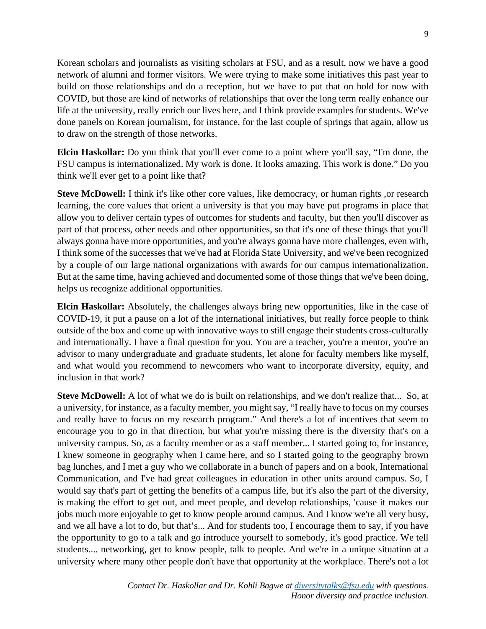Korean scholars and journalists as visiting scholars at FSU, and as a result, now we have a good network of alumni and former visitors. We were trying to make some initiatives this past year to build on those relationships and do a reception, but we have to put that on hold for now with COVID, but those are kind of networks of relationships that over the long term really enhance our life at the university, really enrich our lives here, and I think provide examples for students. We've done panels on Korean journalism, for instance, for the last couple of springs that again, allow us to draw on the strength of those networks.

**Elcin Haskollar:** Do you think that you'll ever come to a point where you'll say, "I'm done, the FSU campus is internationalized. My work is done. It looks amazing. This work is done." Do you think we'll ever get to a point like that?

**Steve McDowell:** I think it's like other core values, like democracy, or human rights ,or research learning, the core values that orient a university is that you may have put programs in place that allow you to deliver certain types of outcomes for students and faculty, but then you'll discover as part of that process, other needs and other opportunities, so that it's one of these things that you'll always gonna have more opportunities, and you're always gonna have more challenges, even with, I think some of the successes that we've had at Florida State University, and we've been recognized by a couple of our large national organizations with awards for our campus internationalization. But at the same time, having achieved and documented some of those things that we've been doing, helps us recognize additional opportunities.

**Elcin Haskollar:** Absolutely, the challenges always bring new opportunities, like in the case of COVID-19, it put a pause on a lot of the international initiatives, but really force people to think outside of the box and come up with innovative ways to still engage their students cross-culturally and internationally. I have a final question for you. You are a teacher, you're a mentor, you're an advisor to many undergraduate and graduate students, let alone for faculty members like myself, and what would you recommend to newcomers who want to incorporate diversity, equity, and inclusion in that work?

**Steve McDowell:** A lot of what we do is built on relationships, and we don't realize that... So, at a university, for instance, as a faculty member, you might say, "I really have to focus on my courses and really have to focus on my research program." And there's a lot of incentives that seem to encourage you to go in that direction, but what you're missing there is the diversity that's on a university campus. So, as a faculty member or as a staff member... I started going to, for instance, I knew someone in geography when I came here, and so I started going to the geography brown bag lunches, and I met a guy who we collaborate in a bunch of papers and on a book, International Communication, and I've had great colleagues in education in other units around campus. So, I would say that's part of getting the benefits of a campus life, but it's also the part of the diversity, is making the effort to get out, and meet people, and develop relationships, 'cause it makes our jobs much more enjoyable to get to know people around campus. And I know we're all very busy, and we all have a lot to do, but that's... And for students too, I encourage them to say, if you have the opportunity to go to a talk and go introduce yourself to somebody, it's good practice. We tell students.... networking, get to know people, talk to people. And we're in a unique situation at a university where many other people don't have that opportunity at the workplace. There's not a lot